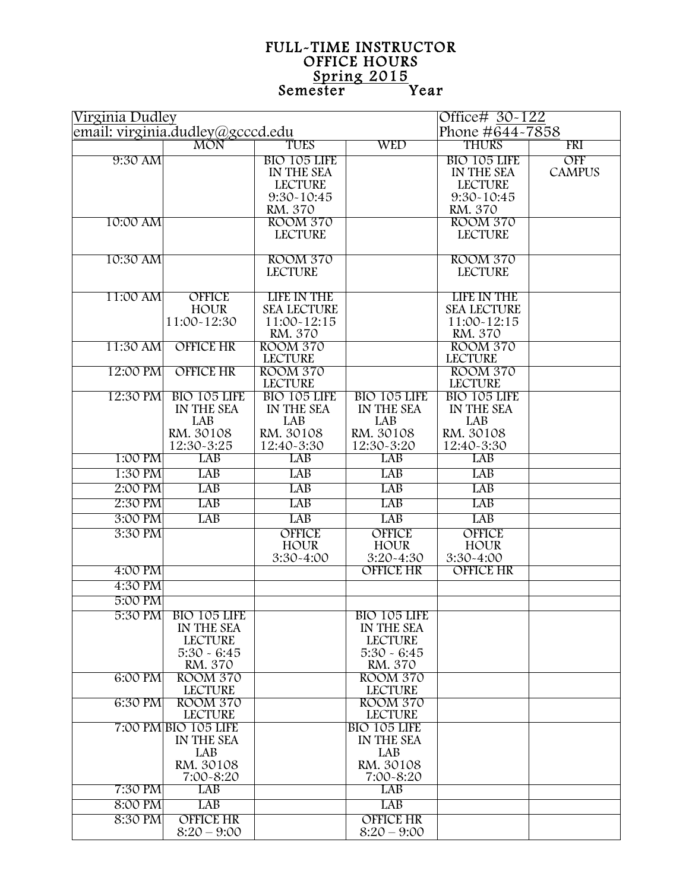## FULL-TIME INSTRUCTOR<br>OFFICE HOURS<br>Semester Year

| Virginia Dudley                  |                            |                                   |                            | Office# 30-122                    |               |
|----------------------------------|----------------------------|-----------------------------------|----------------------------|-----------------------------------|---------------|
| email: virginia.dudley@gcccd.edu |                            |                                   |                            | Phone #644~7858                   |               |
|                                  | <b>MON</b>                 | TUES                              | <b>WED</b>                 | <b>THURS</b>                      | FRI           |
| 9:30 AM                          |                            | BIO 105 LIFE                      |                            | BIO 105 LIFE                      | OFF           |
|                                  |                            | IN THE SEA                        |                            | IN THE SEA                        | <b>CAMPUS</b> |
|                                  |                            | <b>LECTURE</b>                    |                            | <b>LECTURE</b>                    |               |
|                                  |                            | 9:30~10:45<br>RM. 370             |                            | 9:30~10:45<br>RM. 370             |               |
| 10:00 AM                         |                            | ROOM 370                          |                            | ROOM 370                          |               |
|                                  |                            | <b>LECTURE</b>                    |                            | <b>LECTURE</b>                    |               |
|                                  |                            |                                   |                            |                                   |               |
| 10:30 AM                         |                            | <b>ROOM 370</b>                   |                            | <b>ROOM 370</b>                   |               |
|                                  |                            | <b>LECTURE</b>                    |                            | <b>LECTURE</b>                    |               |
|                                  |                            |                                   |                            |                                   |               |
| 11:00 AM                         | <b>OFFICE</b>              | <b>LIFE IN THE</b>                |                            | <b>LIFE IN THE</b>                |               |
|                                  | <b>HOUR</b><br>11:00~12:30 | <b>SEA LECTURE</b><br>11:00~12:15 |                            | <b>SEA LECTURE</b><br>11:00-12:15 |               |
|                                  |                            | RM. 370                           |                            | RM. 370                           |               |
| 11:30 AM                         | <b>OFFICE HR</b>           | <b>ROOM 370</b>                   |                            | <b>ROOM 370</b>                   |               |
|                                  |                            | <b>LECTURE</b>                    |                            | <b>LECTURE</b>                    |               |
| 12:00 PM                         | <b>OFFICE HR</b>           | <b>ROOM 370</b>                   |                            | <b>ROOM 370</b>                   |               |
|                                  |                            | <b>LECTURE</b>                    |                            | <b>LECTURE</b>                    |               |
| 12:30 PM                         | BIO 105 LIFE               | BIO 105 LIFE                      | BIO 105 LIFE               | BIO 105 LIFE                      |               |
|                                  | IN THE SEA                 | IN THE SEA                        | IN THE SEA<br>LAB          | IN THE SEA                        |               |
|                                  | LAB<br>RM. 30108           | LAB<br>RM. 30108                  | RM. 30108                  | LAB<br>RM. 30108                  |               |
|                                  | 12:30~3:25                 | 12:40-3:30                        | 12:30~3:20                 | 12:40~3:30                        |               |
| 1:00 PM                          | LAB                        | <b>LAB</b>                        | LAB                        | LAB                               |               |
| 1:30 PM                          | <b>LAB</b>                 | <b>LAB</b>                        | LAB                        | LAB                               |               |
| 2:00 PM                          | <b>LAB</b>                 | <b>LAB</b>                        | LAB                        | LAB                               |               |
| 2:30 PM                          | <b>LAB</b>                 | <b>LAB</b>                        | <b>LAB</b>                 | LAB                               |               |
| 3:00 PM                          | LAB                        | LAB                               | LAB                        | LAB                               |               |
| 3:30 PM                          |                            | <b>OFFICE</b>                     | <b>OFFICE</b>              | <b>OFFICE</b>                     |               |
|                                  |                            | <b>HOUR</b>                       | <b>HOUR</b>                | <b>HOUR</b>                       |               |
|                                  |                            | 3:30-4:00                         | 3:20~4:30                  | 3:30-4:00                         |               |
| 4:00 PM                          |                            |                                   | <b>OFFICE HR</b>           | <b>OFFICE HR</b>                  |               |
| 4:30 PM                          |                            |                                   |                            |                                   |               |
| 5:00 PM                          |                            |                                   |                            |                                   |               |
|                                  | 5:30 PM BIO 105 LIFE       |                                   | BIO 105 LIFE               |                                   |               |
|                                  | IN THE SEA                 |                                   | IN THE SEA                 |                                   |               |
|                                  | <b>LECTURE</b>             |                                   | <b>LECTURE</b>             |                                   |               |
|                                  | $5:30 - 6:45$              |                                   | $5:30 - 6:45$              |                                   |               |
| 6:00 PM                          | RM. 370<br><b>ROOM 370</b> |                                   | RM. 370<br><b>ROOM 370</b> |                                   |               |
|                                  | <b>LECTURE</b>             |                                   | <b>LECTURE</b>             |                                   |               |
| 6:30 PM                          | <b>ROOM 370</b>            |                                   | <b>ROOM 370</b>            |                                   |               |
|                                  | <b>LECTURE</b>             |                                   | <b>LECTURE</b>             |                                   |               |
|                                  | 7:00 PM BIO 105 LIFE       |                                   | BIO 105 LIFE               |                                   |               |
|                                  | IN THE SEA                 |                                   | IN THE SEA                 |                                   |               |
|                                  | LAB                        |                                   | LAB                        |                                   |               |
|                                  | RM. 30108<br>7:00-8:20     |                                   | RM. 30108<br>7:00-8:20     |                                   |               |
| 7:30 PM                          | LAB                        |                                   | LAB                        |                                   |               |
| 8:00 PM                          | <b>LAB</b>                 |                                   | <b>LAB</b>                 |                                   |               |
| 8:30 PM                          | <b>OFFICE HR</b>           |                                   | <b>OFFICE HR</b>           |                                   |               |
|                                  | $8:20 - 9:00$              |                                   | $8:20 - 9:00$              |                                   |               |